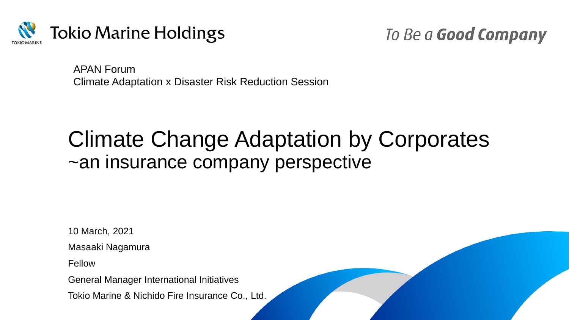

To Be a Good Company

APAN Forum Climate Adaptation x Disaster Risk Reduction Session

# Climate Change Adaptation by Corporates ~an insurance company perspective

10 March, 2021

Masaaki Nagamura

Fellow

General Manager International Initiatives

Tokio Marine & Nichido Fire Insurance Co., Ltd.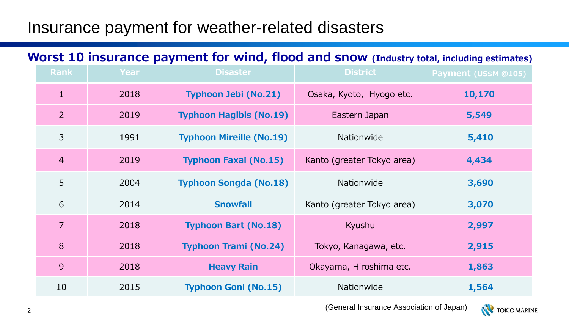## Insurance payment for weather-related disasters

#### **Worst 10 insurance payment for wind, flood and snow (Industry total, including estimates)**

| <b>Rank</b>    | <b>Year</b> | <b>Disaster</b>                 | <b>District</b>            | Payment (US\$M @105) |
|----------------|-------------|---------------------------------|----------------------------|----------------------|
| $\mathbf{1}$   | 2018        | <b>Typhoon Jebi (No.21)</b>     | Osaka, Kyoto, Hyogo etc.   | 10,170               |
| $\overline{2}$ | 2019        | <b>Typhoon Hagibis (No.19)</b>  | Eastern Japan              | 5,549                |
| 3              | 1991        | <b>Typhoon Mireille (No.19)</b> | Nationwide                 | 5,410                |
| $\overline{4}$ | 2019        | <b>Typhoon Faxai (No.15)</b>    | Kanto (greater Tokyo area) | 4,434                |
| 5              | 2004        | <b>Typhoon Songda (No.18)</b>   | Nationwide                 | 3,690                |
| 6              | 2014        | <b>Snowfall</b>                 | Kanto (greater Tokyo area) | 3,070                |
| $\overline{7}$ | 2018        | <b>Typhoon Bart (No.18)</b>     | Kyushu                     | 2,997                |
| 8              | 2018        | <b>Typhoon Trami (No.24)</b>    | Tokyo, Kanagawa, etc.      | 2,915                |
| 9              | 2018        | <b>Heavy Rain</b>               | Okayama, Hiroshima etc.    | 1,863                |
| 10             | 2015        | <b>Typhoon Goni (No.15)</b>     | Nationwide                 | 1,564                |

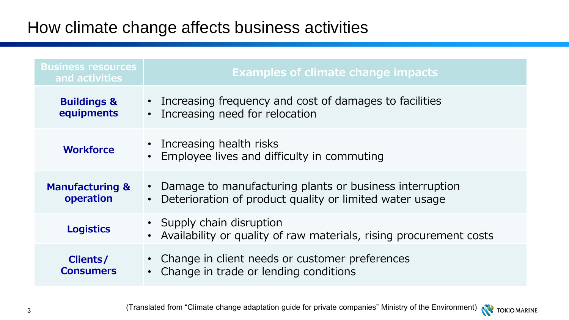## How climate change affects business activities

| <b>Business resources</b><br>and activities | <b>Examples of climate change impacts</b>                                                                                         |
|---------------------------------------------|-----------------------------------------------------------------------------------------------------------------------------------|
| <b>Buildings &amp;</b><br>equipments        | • Increasing frequency and cost of damages to facilities<br>• Increasing need for relocation                                      |
| <b>Workforce</b>                            | • Increasing health risks<br>• Employee lives and difficulty in commuting                                                         |
| <b>Manufacturing &amp;</b><br>operation     | • Damage to manufacturing plants or business interruption<br>Deterioration of product quality or limited water usage<br>$\bullet$ |
| <b>Logistics</b>                            | • Supply chain disruption<br>• Availability or quality of raw materials, rising procurement costs                                 |
| Clients/<br><b>Consumers</b>                | • Change in client needs or customer preferences<br>• Change in trade or lending conditions                                       |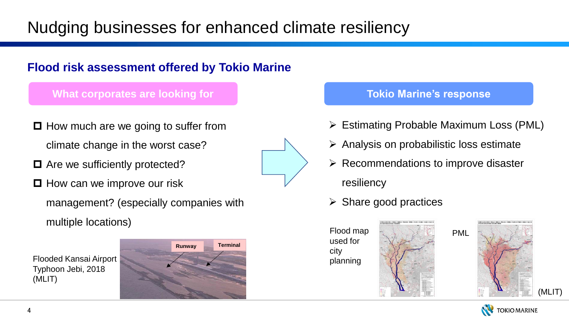## Nudging businesses for enhanced climate resiliency

#### **Flood risk assessment offered by Tokio Marine**

#### **What corporates are looking for the article of the Tokio Marine's response**

- $\Box$  How much are we going to suffer from climate change in the worst case?
- $\Box$  Are we sufficiently protected?
- $\Box$  How can we improve our risk
	- management? (especially companies with multiple locations)





➢ Estimating Probable Maximum Loss (PML)

PML

- $\triangleright$  Analysis on probabilistic loss estimate
- $\triangleright$  Recommendations to improve disaster resiliency
- $\triangleright$  Share good practices





-<br>本曽川水系木曽川·長良川·理虚川·伊自良川·根尾川·牧田川·杭瀬川·<br>浜水浸水想定区城図(想定最大規模) (MLIT)

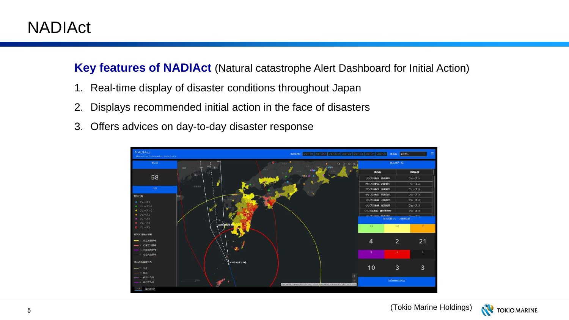**Key features of NADIAct** (Natural catastrophe Alert Dashboard for Initial Action)

- 1. Real-time display of disaster conditions throughout Japan
- 2. Displays recommended initial action in the face of disasters
- 3. Offers advices on day-to-day disaster response